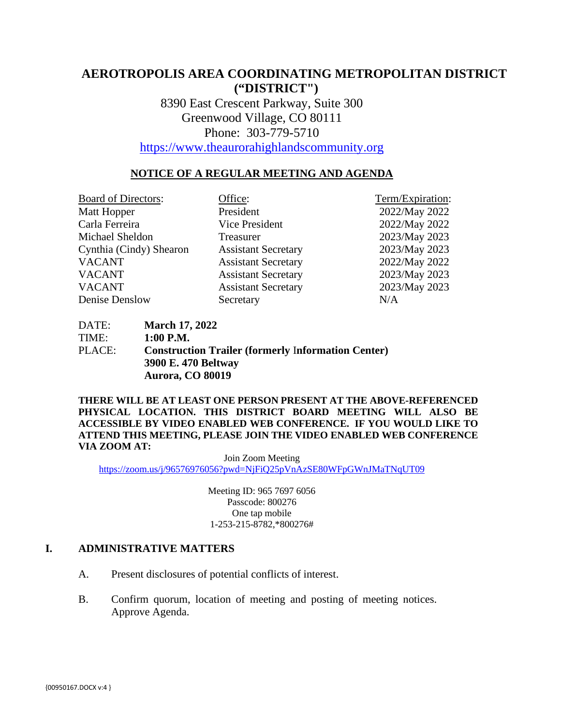# **AEROTROPOLIS AREA COORDINATING METROPOLITAN DISTRICT ("DISTRICT")**

8390 East Crescent Parkway, Suite 300 Greenwood Village, CO 80111 Phone: 303-779-5710

[https://www.theaurorahighlandscommunity.org](https://www.theaurorahighlandscommunity.org/)

#### **NOTICE OF A REGULAR MEETING AND AGENDA**

| <b>Board of Directors:</b> | Office:                    | Term/Expiration: |
|----------------------------|----------------------------|------------------|
| Matt Hopper                | President                  | 2022/May 2022    |
| Carla Ferreira             | Vice President             | 2022/May 2022    |
| Michael Sheldon            | Treasurer                  | 2023/May 2023    |
| Cynthia (Cindy) Shearon    | <b>Assistant Secretary</b> | 2023/May 2023    |
| <b>VACANT</b>              | <b>Assistant Secretary</b> | 2022/May 2022    |
| <b>VACANT</b>              | <b>Assistant Secretary</b> | 2023/May 2023    |
| <b>VACANT</b>              | <b>Assistant Secretary</b> | 2023/May 2023    |
| Denise Denslow             | Secretary                  | N/A              |

DATE: **March 17, 2022** TIME: **1:00 P.M.** PLACE: **Construction Trailer (formerly** I**nformation Center) 3900 E. 470 Beltway Aurora, CO 80019** 

**THERE WILL BE AT LEAST ONE PERSON PRESENT AT THE ABOVE-REFERENCED PHYSICAL LOCATION. THIS DISTRICT BOARD MEETING WILL ALSO BE ACCESSIBLE BY VIDEO ENABLED WEB CONFERENCE. IF YOU WOULD LIKE TO ATTEND THIS MEETING, PLEASE JOIN THE VIDEO ENABLED WEB CONFERENCE VIA ZOOM AT:**

Join Zoom Meeting <https://zoom.us/j/96576976056?pwd=NjFiQ25pVnAzSE80WFpGWnJMaTNqUT09>

> Meeting ID: 965 7697 6056 Passcode: 800276 One tap mobile 1-253-215-8782,\*800276#

#### **I. ADMINISTRATIVE MATTERS**

- A. Present disclosures of potential conflicts of interest.
- B. Confirm quorum, location of meeting and posting of meeting notices. Approve Agenda.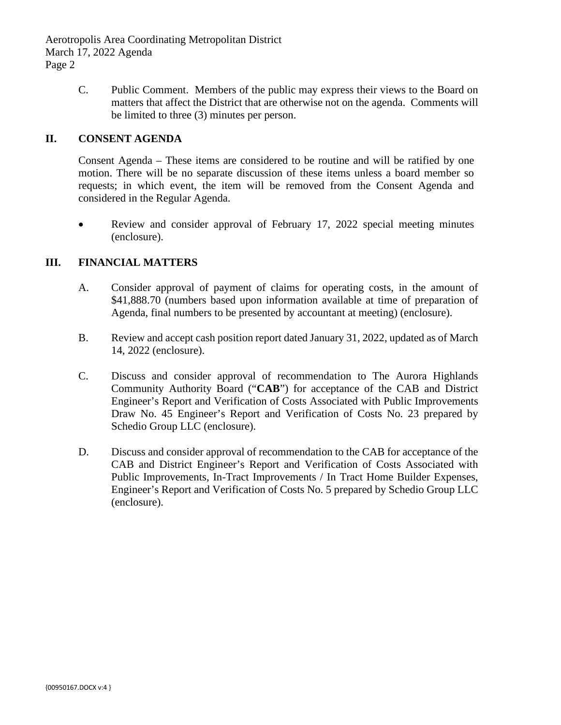Aerotropolis Area Coordinating Metropolitan District March 17, 2022 Agenda Page 2

> C. Public Comment. Members of the public may express their views to the Board on matters that affect the District that are otherwise not on the agenda. Comments will be limited to three (3) minutes per person.

#### **II. CONSENT AGENDA**

Consent Agenda – These items are considered to be routine and will be ratified by one motion. There will be no separate discussion of these items unless a board member so requests; in which event, the item will be removed from the Consent Agenda and considered in the Regular Agenda.

• Review and consider approval of February 17, 2022 special meeting minutes (enclosure).

#### **III. FINANCIAL MATTERS**

- A. Consider approval of payment of claims for operating costs, in the amount of \$41,888.70 (numbers based upon information available at time of preparation of Agenda, final numbers to be presented by accountant at meeting) (enclosure).
- B. Review and accept cash position report dated January 31, 2022, updated as of March 14, 2022 (enclosure).
- C. Discuss and consider approval of recommendation to The Aurora Highlands Community Authority Board ("**CAB**") for acceptance of the CAB and District Engineer's Report and Verification of Costs Associated with Public Improvements Draw No. 45 Engineer's Report and Verification of Costs No. 23 prepared by Schedio Group LLC (enclosure).
- D. Discuss and consider approval of recommendation to the CAB for acceptance of the CAB and District Engineer's Report and Verification of Costs Associated with Public Improvements, In-Tract Improvements / In Tract Home Builder Expenses, Engineer's Report and Verification of Costs No. 5 prepared by Schedio Group LLC (enclosure).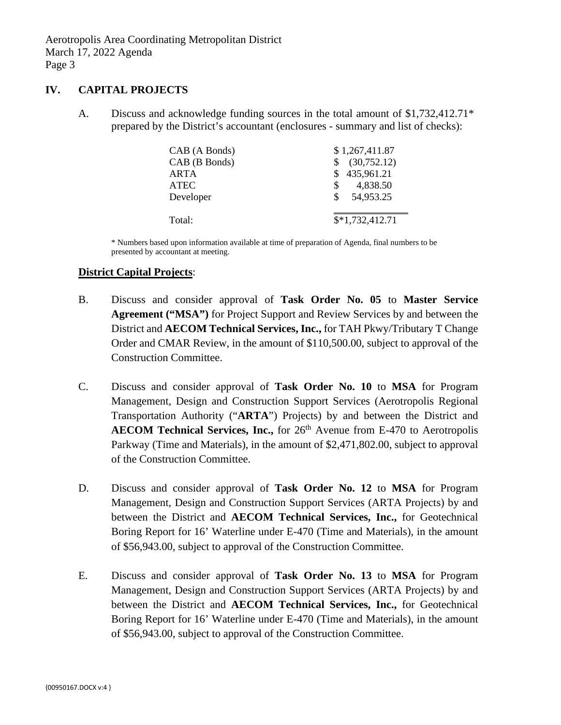Aerotropolis Area Coordinating Metropolitan District March 17, 2022 Agenda Page 3

#### **IV. CAPITAL PROJECTS**

A. Discuss and acknowledge funding sources in the total amount of \$1,732,412.71\* prepared by the District's accountant (enclosures - summary and list of checks):

| CAB (A Bonds) | \$1,267,411.87      |
|---------------|---------------------|
| CAB (B Bonds) | (30, 752.12)<br>\$. |
| ARTA          | \$435,961.21        |
| <b>ATEC</b>   | 4,838.50<br>S.      |
| Developer     | \$54,953.25         |
|               |                     |
| Total:        | $$*1,732,412.71$    |

\* Numbers based upon information available at time of preparation of Agenda, final numbers to be presented by accountant at meeting.

#### **District Capital Projects**:

- B. Discuss and consider approval of **Task Order No. 05** to **Master Service Agreement ("MSA")** for Project Support and Review Services by and between the District and **AECOM Technical Services, Inc.,** for TAH Pkwy/Tributary T Change Order and CMAR Review, in the amount of \$110,500.00, subject to approval of the Construction Committee.
- C. Discuss and consider approval of **Task Order No. 10** to **MSA** for Program Management, Design and Construction Support Services (Aerotropolis Regional Transportation Authority ("**ARTA**") Projects) by and between the District and **AECOM Technical Services, Inc.,** for 26<sup>th</sup> Avenue from E-470 to Aerotropolis Parkway (Time and Materials), in the amount of \$2,471,802.00, subject to approval of the Construction Committee.
- D. Discuss and consider approval of **Task Order No. 12** to **MSA** for Program Management, Design and Construction Support Services (ARTA Projects) by and between the District and **AECOM Technical Services, Inc.,** for Geotechnical Boring Report for 16' Waterline under E-470 (Time and Materials), in the amount of \$56,943.00, subject to approval of the Construction Committee.
- E. Discuss and consider approval of **Task Order No. 13** to **MSA** for Program Management, Design and Construction Support Services (ARTA Projects) by and between the District and **AECOM Technical Services, Inc.,** for Geotechnical Boring Report for 16' Waterline under E-470 (Time and Materials), in the amount of \$56,943.00, subject to approval of the Construction Committee.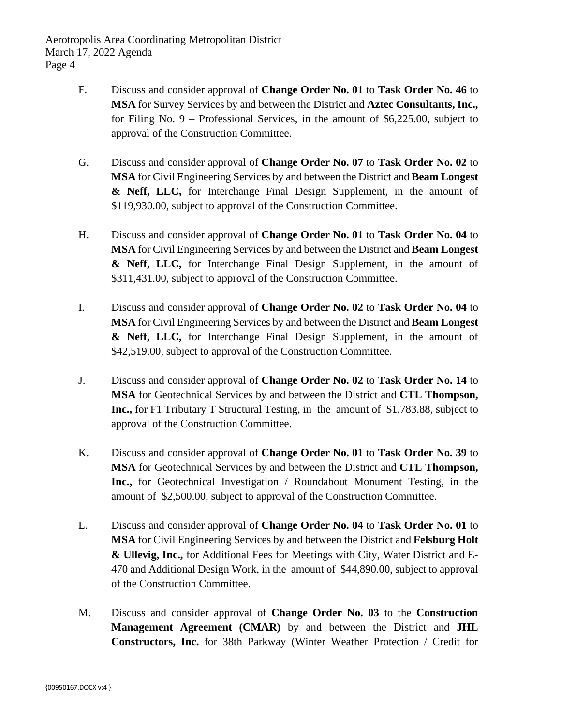- F. Discuss and consider approval of **Change Order No. 01** to **Task Order No. 46** to **MSA** for Survey Services by and between the District and **Aztec Consultants, Inc.,** for Filing No. 9 – Professional Services, in the amount of \$6,225.00, subject to approval of the Construction Committee.
- G. Discuss and consider approval of **Change Order No. 07** to **Task Order No. 02** to **MSA** for Civil Engineering Services by and between the District and **Beam Longest & Neff, LLC,** for Interchange Final Design Supplement, in the amount of \$119,930.00, subject to approval of the Construction Committee.
- H. Discuss and consider approval of **Change Order No. 01** to **Task Order No. 04** to **MSA** for Civil Engineering Services by and between the District and **Beam Longest & Neff, LLC,** for Interchange Final Design Supplement, in the amount of \$311,431.00, subject to approval of the Construction Committee.
- I. Discuss and consider approval of **Change Order No. 02** to **Task Order No. 04** to **MSA** for Civil Engineering Services by and between the District and **Beam Longest & Neff, LLC,** for Interchange Final Design Supplement, in the amount of \$42,519.00, subject to approval of the Construction Committee.
- J. Discuss and consider approval of **Change Order No. 02** to **Task Order No. 14** to **MSA** for Geotechnical Services by and between the District and **CTL Thompson, Inc.,** for F1 Tributary T Structural Testing, in the amount of \$1,783.88, subject to approval of the Construction Committee.
- K. Discuss and consider approval of **Change Order No. 01** to **Task Order No. 39** to **MSA** for Geotechnical Services by and between the District and **CTL Thompson, Inc.,** for Geotechnical Investigation / Roundabout Monument Testing, in the amount of \$2,500.00, subject to approval of the Construction Committee.
- L. Discuss and consider approval of **Change Order No. 04** to **Task Order No. 01** to **MSA** for Civil Engineering Services by and between the District and **Felsburg Holt & Ullevig, Inc.,** for Additional Fees for Meetings with City, Water District and E-470 and Additional Design Work, in the amount of \$44,890.00, subject to approval of the Construction Committee.
- M. Discuss and consider approval of **Change Order No. 03** to the **Construction Management Agreement (CMAR)** by and between the District and **JHL Constructors, Inc.** for 38th Parkway (Winter Weather Protection / Credit for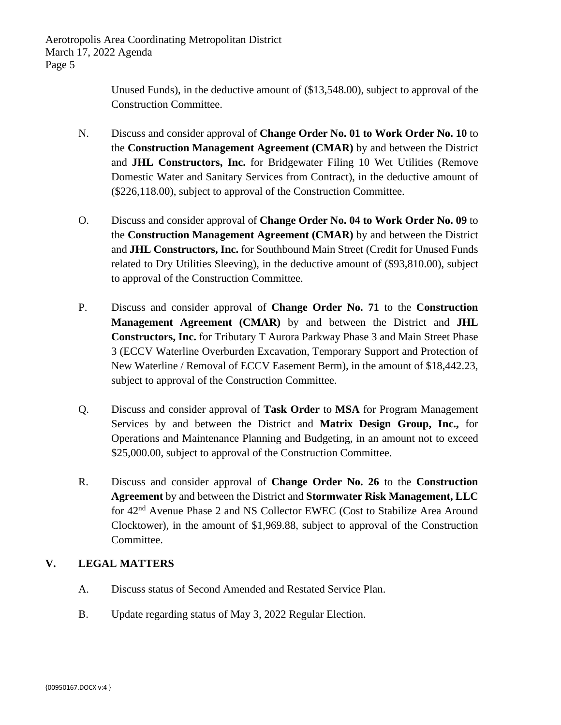Aerotropolis Area Coordinating Metropolitan District March 17, 2022 Agenda Page 5

> Unused Funds), in the deductive amount of (\$13,548.00), subject to approval of the Construction Committee.

- N. Discuss and consider approval of **Change Order No. 01 to Work Order No. 10** to the **Construction Management Agreement (CMAR)** by and between the District and **JHL Constructors, Inc.** for Bridgewater Filing 10 Wet Utilities (Remove Domestic Water and Sanitary Services from Contract), in the deductive amount of (\$226,118.00), subject to approval of the Construction Committee.
- O. Discuss and consider approval of **Change Order No. 04 to Work Order No. 09** to the **Construction Management Agreement (CMAR)** by and between the District and **JHL Constructors, Inc.** for Southbound Main Street (Credit for Unused Funds related to Dry Utilities Sleeving), in the deductive amount of (\$93,810.00), subject to approval of the Construction Committee.
- P. Discuss and consider approval of **Change Order No. 71** to the **Construction Management Agreement (CMAR)** by and between the District and **JHL Constructors, Inc.** for Tributary T Aurora Parkway Phase 3 and Main Street Phase 3 (ECCV Waterline Overburden Excavation, Temporary Support and Protection of New Waterline / Removal of ECCV Easement Berm), in the amount of \$18,442.23, subject to approval of the Construction Committee.
- Q. Discuss and consider approval of **Task Order** to **MSA** for Program Management Services by and between the District and **Matrix Design Group, Inc.,** for Operations and Maintenance Planning and Budgeting, in an amount not to exceed \$25,000.00, subject to approval of the Construction Committee.
- R. Discuss and consider approval of **Change Order No. 26** to the **Construction Agreement** by and between the District and **Stormwater Risk Management, LLC**  for 42nd Avenue Phase 2 and NS Collector EWEC (Cost to Stabilize Area Around Clocktower), in the amount of \$1,969.88, subject to approval of the Construction Committee.

### **V. LEGAL MATTERS**

- A. Discuss status of Second Amended and Restated Service Plan.
- B. Update regarding status of May 3, 2022 Regular Election.